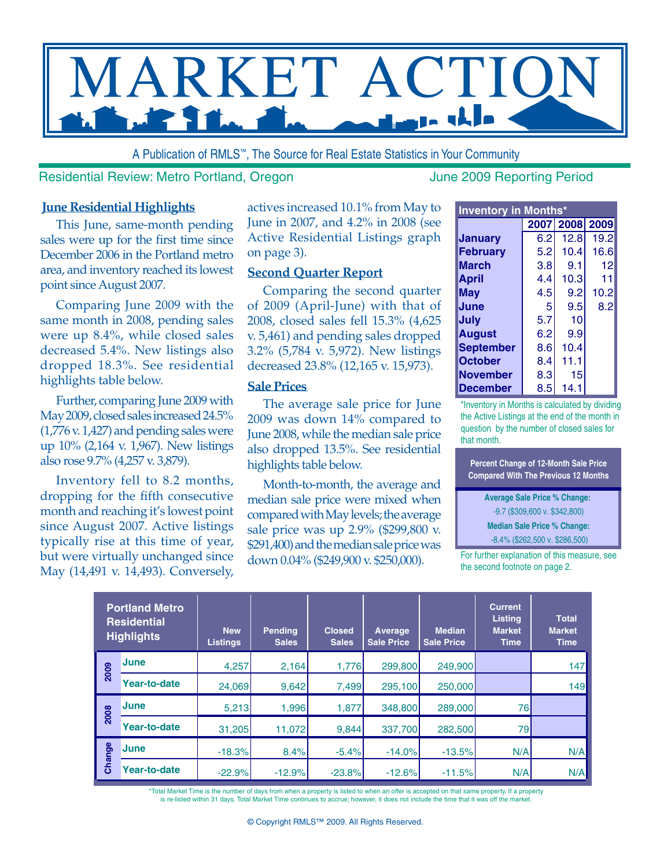

A Publication of RMLS™, The Source for Real Estate Statistics in Your Community

#### Residential Review: Metro Portland, Oregon June 2009 Reporting Period

#### **June Residential Highlights**

This June, same-month pending sales were up for the first time since December 2006 in the Portland metro area, and inventory reached its lowest point since August 2007.

Comparing June 2009 with the same month in 2008, pending sales were up 8.4%, while closed sales decreased 5.4%. New listings also dropped 18.3%. See residential highlights table below.

Further, comparing June 2009 with May 2009, closed sales increased 24.5% (1,776 v. 1,427) and pending sales were up 10% (2,164 v. 1,967). New listings also rose 9.7% (4,257 v. 3,879).

Inventory fell to 8.2 months, dropping for the fifth consecutive month and reaching it's lowest point since August 2007. Active listings typically rise at this time of year, but were virtually unchanged since May (14,491 v. 14,493). Conversely,

actives increased 10.1% from May to June in 2007, and 4.2% in 2008 (see Active Residential Listings graph on page 3).

#### **Second Quarter Report**

Comparing the second quarter of 2009 (April-June) with that of 2008, closed sales fell 15.3% (4,625 v. 5,461) and pending sales dropped 3.2% (5,784 v. 5,972). New listings decreased 23.8% (12,165 v. 15,973).

#### **Sale Prices**

The average sale price for June 2009 was down 14% compared to June 2008, while the median sale price also dropped 13.5%. See residential highlights table below.

Month-to-month, the average and median sale price were mixed when compared with May levels; the average sale price was up 2.9% (\$299,800 v. \$291,400) and the median sale price was down 0.04% (\$249,900 v. \$250,000).

| <b>Inventory in Months*</b> |     |                |      |  |  |  |  |  |  |  |  |
|-----------------------------|-----|----------------|------|--|--|--|--|--|--|--|--|
|                             |     | 2007 2008 2009 |      |  |  |  |  |  |  |  |  |
| <b>January</b>              | 6.2 | 12.8           | 19.2 |  |  |  |  |  |  |  |  |
| <b>February</b>             | 5.2 | 10.4           | 16.6 |  |  |  |  |  |  |  |  |
| <b>March</b>                | 3.8 | 9.1            | 12   |  |  |  |  |  |  |  |  |
| <b>April</b>                | 4.4 | 10.3           | 11   |  |  |  |  |  |  |  |  |
| <b>May</b>                  | 4.5 | 9.2            | 10.2 |  |  |  |  |  |  |  |  |
| June                        | 5   | 9.5            | 8.2  |  |  |  |  |  |  |  |  |
| July                        | 5.7 | 10             |      |  |  |  |  |  |  |  |  |
| <b>August</b>               | 6.2 | 9.9            |      |  |  |  |  |  |  |  |  |
| <b>September</b>            | 8.6 | 10.4           |      |  |  |  |  |  |  |  |  |
| <b>October</b>              | 8.4 | 11.1           |      |  |  |  |  |  |  |  |  |
| <b>November</b>             | 8.3 | 15             |      |  |  |  |  |  |  |  |  |
| <b>December</b>             | 8.5 | 14.1           |      |  |  |  |  |  |  |  |  |

\*Inventory in Months is calculated by dividing the Active Listings at the end of the month in question by the number of closed sales for that month.

**Percent Change of 12-Month Sale Price Compared With The Previous 12 Months**

**Average Sale Price % Change:** 

-9.7 (\$309,600 v. \$342,800)

**Median Sale Price % Change:**

 -8.4% (\$262,500 v. \$286,500) For further explanation of this measure, see the second footnote on page 2.

| <b>Portland Metro</b><br><b>Residential</b><br><b>Highlights</b> |                     | <b>New</b><br>Listings | <b>Pending</b><br><b>Sales</b> | <b>Closed</b><br><b>Sales</b> | Average<br><b>Sale Price</b> | <b>Median</b><br><b>Sale Price</b> | <b>Current</b><br><b>Listing</b><br><b>Market</b><br><b>Time</b> | <b>Total</b><br><b>Market</b><br><b>Time</b> |  |
|------------------------------------------------------------------|---------------------|------------------------|--------------------------------|-------------------------------|------------------------------|------------------------------------|------------------------------------------------------------------|----------------------------------------------|--|
| 2009                                                             | <b>June</b>         | 4,257                  | 2,164                          | 1.776                         | 299,800                      | 249,900                            |                                                                  | 147                                          |  |
|                                                                  | <b>Year-to-date</b> | 24,069                 | 9,642                          | 7,499                         | 295,100                      | 250,000                            |                                                                  | 149                                          |  |
| 2008                                                             | <b>June</b>         | 5,213                  | 1,996                          | 1,877                         | 348,800                      | 289,000                            | 76                                                               |                                              |  |
|                                                                  | Year-to-date        | 31,205                 | 11.072                         | 9,844                         | 337,700                      | 282,500                            | 79                                                               |                                              |  |
| Change                                                           | <b>June</b>         | $-18.3%$               | 8.4%                           | $-5.4%$                       | $-14.0%$                     | $-13.5%$                           | N/A                                                              | N/A                                          |  |
|                                                                  | <b>Year-to-date</b> | $-22.9%$               | $-12.9%$                       | $-23.8%$                      | $-12.6%$                     | $-11.5%$                           | N/A                                                              | N/A                                          |  |

\*Total Market Time is the number of days from when a property is listed to when an offer is accepted on that same property. If a property<br>is re-listed within 31 days, Total Market Time continues to accrue; however, it does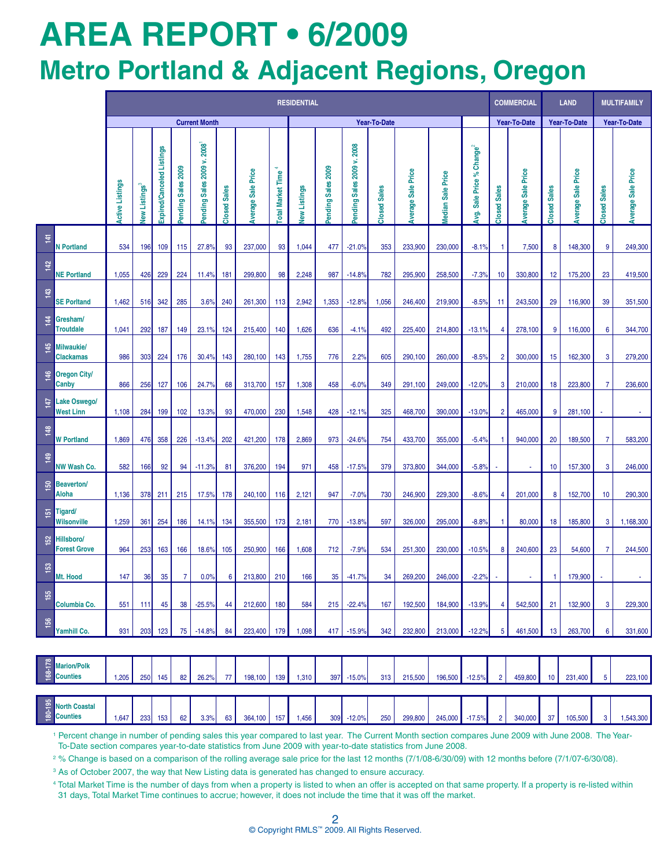# **AREa REPORT • 6/2009 Metro Portland & Adjacent Regions, Oregon**

|                  |                                         | <b>RESIDENTIAL</b>     |              |                           |                    |                            |                     |                           |                          |                     |                    |                            |                     | <b>COMMERCIAL</b>  |                   | <b>LAND</b>                                 |                     | <b>MULTIFAMILY</b>        |                     |                           |                         |                    |
|------------------|-----------------------------------------|------------------------|--------------|---------------------------|--------------------|----------------------------|---------------------|---------------------------|--------------------------|---------------------|--------------------|----------------------------|---------------------|--------------------|-------------------|---------------------------------------------|---------------------|---------------------------|---------------------|---------------------------|-------------------------|--------------------|
|                  |                                         | <b>Current Month</b>   |              |                           |                    |                            | <b>Year-To-Date</b> |                           |                          |                     |                    |                            |                     | Year-To-Date       |                   | Year-To-Date                                |                     | Year-To-Date              |                     |                           |                         |                    |
|                  |                                         | <b>Active Listings</b> | New Listings | Expired/Canceled Listings | Pending Sales 2009 | Pending Sales 2009 v. 2008 | <b>Closed Sales</b> | <b>Average Sale Price</b> | <b>Total Market Time</b> | <b>New Listings</b> | Pending Sales 2009 | Pending Sales 2009 v. 2008 | <b>Closed Sales</b> | Average Sale Price | Median Sale Price | Sale Price % Change <sup>2</sup><br>g.<br>R | <b>Closed Sales</b> | <b>Average Sale Price</b> | <b>Closed Sales</b> | <b>Average Sale Price</b> | <b>Sales</b><br>Closed: | Average Sale Price |
| $\frac{14}{1}$   | <b>N</b> Portland                       | 534                    | 196          | 109                       | 115                | 27.8%                      | 93                  | 237,000                   | 93                       | 1,044               | 477                | $-21.0%$                   | 353                 | 233,900            | 230.000           | $-8.1%$                                     | -1                  | 7,500                     | 8                   | 148,300                   | 9                       | 249,300            |
| 142              | <b>NE Portland</b>                      | 1,055                  | 426          | 229                       | 224                | 11.4%                      | 181                 | 299,800                   | 98                       | 2,248               | 987                | $-14.8%$                   | 782                 | 295,900            | 258,500           | $-7.3%$                                     | 10                  | 330,800                   | 12                  | 175,200                   | 23                      | 419,500            |
| $\frac{43}{2}$   | <b>SE Porltand</b>                      | 1,462                  | 516          | 342                       | 285                | 3.6%                       | 240                 | 261,300                   | 113                      | 2,942               | 1,353              | $-12.8%$                   | 1,056               | 246,400            | 219,900           | $-8.5%$                                     | 11                  | 243,500                   | 29                  | 116,900                   | 39                      | 351,500            |
| $\frac{4}{4}$    | Gresham/<br><b>Troutdale</b>            | 1,041                  | 292          | 187                       | 149                | 23.1%                      | 124                 | 215,400                   | 140                      | 1,626               | 636                | $-4.1%$                    | 492                 | 225,400            | 214,800           | $-13.1%$                                    | 4                   | 278,100                   | 9                   | 116,000                   | 6                       | 344,700            |
| 145              | <b>Milwaukie/</b><br><b>Clackamas</b>   | 986                    | 303          | 224                       | 176                | 30.4%                      | 143                 | 280,100                   | 143                      | 1,755               | 776                | 2.2%                       | 605                 | 290,100            | 260,000           | $-8.5%$                                     | $\overline{2}$      | 300,000                   | 15                  | 162,300                   | 3                       | 279,200            |
| 46               | <b>Oregon City/</b><br>Canby            | 866                    | 256          | 127                       | 106                | 24.7%                      | 68                  | 313,700                   | 157                      | 1,308               | 458                | $-6.0%$                    | 349                 | 291,100            | 249,000           | $-12.0%$                                    | 3                   | 210,000                   | 18                  | 223,800                   | $\overline{7}$          | 236,600            |
| 147              | <b>Lake Oswego/</b><br><b>West Linn</b> | 1,108                  | 284          | 199                       | 102                | 13.3%                      | 93                  | 470,000                   | 230                      | 1,548               | 428                | $-12.1%$                   | 325                 | 468,700            | 390,000           | $-13.0%$                                    | $\overline{2}$      | 465,000                   | 9                   | 281,100                   |                         |                    |
| 148              | <b>W</b> Portland                       | 1,869                  | 476          | 358                       | 226                | $-13.4%$                   | 202                 | 421,200                   | 178                      | 2,869               | 973                | $-24.6%$                   | 754                 | 433,700            | 355,000           | $-5.4%$                                     | $\mathbf{1}$        | 940,000                   | 20                  | 189,500                   | $\overline{7}$          | 583,200            |
| 149              | <b>NW Wash Co.</b>                      | 582                    | 166          | 92                        | 94                 | $-11.3%$                   | 81                  | 376,200                   | 194                      | 971                 | 458                | $-17.5%$                   | 379                 | 373,800            | 344,000           | $-5.8%$                                     | ×                   | $\blacksquare$            | 10                  | 157,300                   | 3                       | 246,000            |
| 50               | <b>Beaverton/</b><br><b>Aloha</b>       | 1,136                  | 378          | 211                       | 215                | 17.5%                      | 178                 | 240,100                   | 116                      | 2,121               | 947                | $-7.0%$                    | 730                 | 246,900            | 229,300           | $-8.6%$                                     | 4                   | 201,000                   | 8                   | 152,700                   | 10                      | 290,300            |
| $\overline{5}$   | Tigard/<br><b>Wilsonville</b>           | 1,259                  | 361          | 254                       | 186                | 14.1%                      | 134                 | 355,500                   | 173                      | 2,181               | 770                | $-13.8%$                   | 597                 | 326,000            | 295,000           | $-8.8%$                                     | -1                  | 80,000                    | 18                  | 185,800                   | 3                       | 1,168,300          |
| 152              | Hillsboro/<br><b>Forest Grove</b>       | 964                    | 253          | 163                       | 166                | 18.6%                      | 105                 | 250,900                   | 166                      | 1,608               | 712                | $-7.9%$                    | 534                 | 251,300            | 230,000           | $-10.5%$                                    | 8                   | 240.600                   | 23                  | 54,600                    | $\overline{7}$          | 244,500            |
| $\overline{153}$ | Mt. Hood                                | 147                    | 36           | 35                        | $\overline{7}$     | 0.0%                       | 6                   | 213,800                   | 210                      | 166                 | 35                 | $-41.7%$                   | 34                  | 269,200            | 246,000           | $-2.2%$                                     |                     | ×.                        | 1                   | 179,900                   |                         | $\sim$             |
| 155              | Columbia Co.                            | 551                    | 111          | 45                        | 38                 | $-25.5%$                   | 44                  | 212,600                   | 180                      | 584                 | 215                | $-22.4%$                   | 167                 | 192,500            | 184,900           | $-13.9%$                                    | $\overline{4}$      | 542,500                   | 21                  | 132,900                   | 3                       | 229,300            |
| 156              | Yamhill Co.                             | 931                    | 203          | 123                       | 75                 | $-14.8%$                   | 84                  | 223,400                   | 179                      | 1,098               | 417                | $-15.9%$                   | 342                 | 232,800            | 213,000           | $-12.2%$                                    | 5                   | 461,500                   | 13                  | 263,700                   | 6                       | 331,600            |
|                  |                                         |                        |              |                           |                    |                            |                     |                           |                          |                     |                    |                            |                     |                    |                   |                                             |                     |                           |                     |                           |                         |                    |
| 168-178          | <b>Marion/Polk</b><br><b>Counties</b>   | 1,205                  | 250          | 145                       | 82                 | 26.2%                      | 77                  | 198,100                   | 139                      | 1,310               | 397                | $-15.0%$                   | 313                 | 215,500            | 196,500           | $-12.5%$                                    | $\overline{2}$      | 459,800                   | 10                  | 231,400                   | 5                       | 223,100            |
|                  |                                         |                        |              |                           |                    |                            |                     |                           |                          |                     |                    |                            |                     |                    |                   |                                             |                     |                           |                     |                           |                         |                    |
| 180-195          | <b>North Coastal</b><br><b>Counties</b> | 1,647                  | 233          | 153                       | 62                 | 3.3%                       | 63                  | 364,100                   | 157                      | 1,456               | 309                | $-12.0%$                   | 250                 | 299,800            | 245,000           | $-17.5%$                                    | $\overline{2}$      | 340,000                   | 37                  | 105,500                   | 3                       | 1,543,300          |

<sup>1</sup> Percent change in number of pending sales this year compared to last year. The Current Month section compares June 2009 with June 2008. The Year-To-Date section compares year-to-date statistics from June 2009 with year-to-date statistics from June 2008.

2 % Change is based on a comparison of the rolling average sale price for the last 12 months (7/1/08-6/30/09) with 12 months before (7/1/07-6/30/08).

<sup>3</sup> As of October 2007, the way that New Listing data is generated has changed to ensure accuracy.

4 Total Market Time is the number of days from when a property is listed to when an offer is accepted on that same property. If a property is re-listed within 31 days, Total Market Time continues to accrue; however, it does not include the time that it was off the market.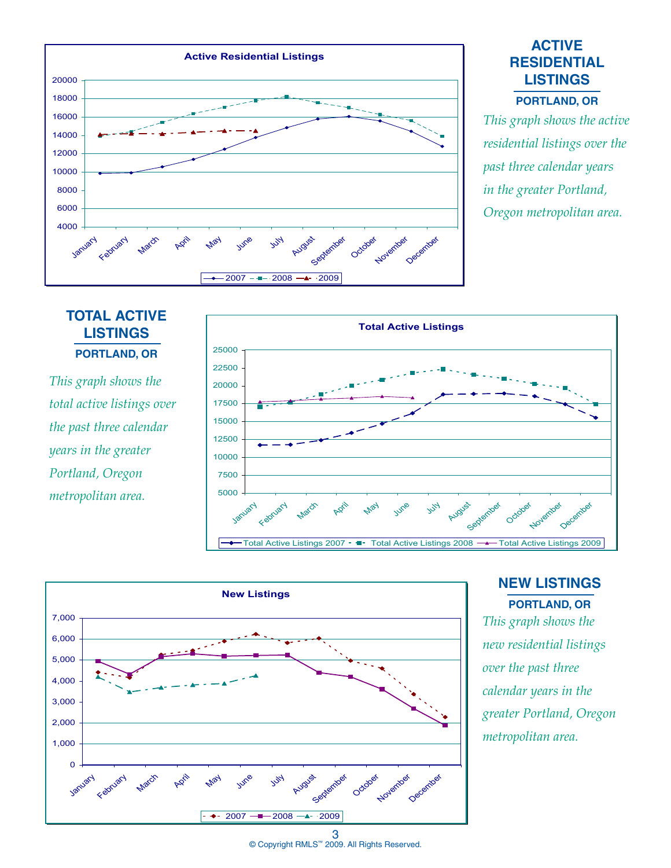

# **ACTIVE RESIDENTIAL LISTINGS**

#### **Portland, OR**

*This graph shows the active residential listings over the past three calendar years in the greater Portland, Oregon metropolitan area.*

# **TOTAL ACTIVE LISTINGS PORTLAND, OR**

*This graph shows the total active listings over the past three calendar years in the greater Portland, Oregon metropolitan area.*





## **NEW LISTINGS PORTLAND, OR**

*This graph shows the new residential listings over the past three calendar years in the greater Portland, Oregon metropolitan area.*

3 © Copyright RMLS™ 2009. All Rights Reserved.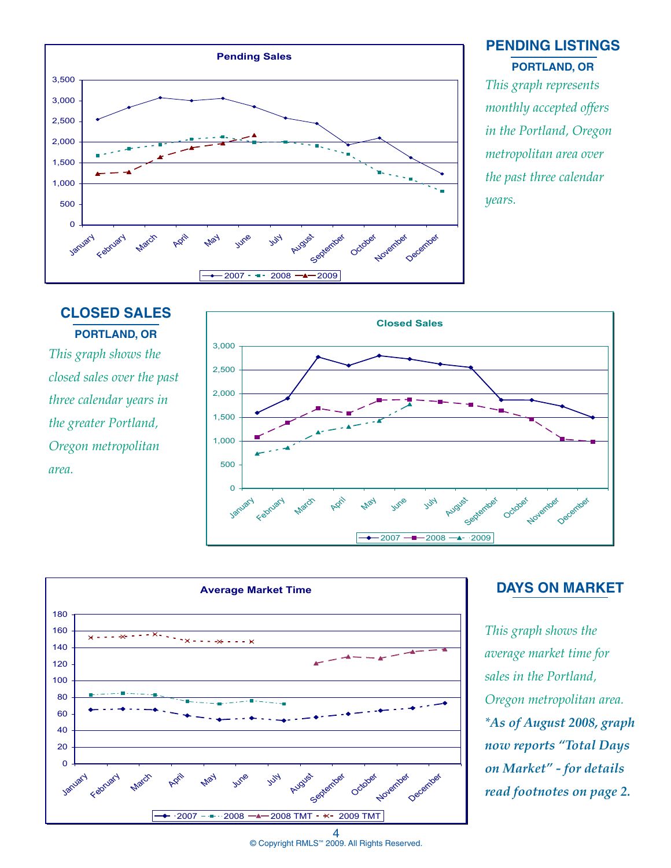

#### **PENDING LISTINGS PORTLAND, OR**

*This graph represents monthly accepted offers in the Portland, Oregon metropolitan area over the past three calendar years.*

# **CLOSED SALES PORTLAND, OR**

*This graph shows the closed sales over the past three calendar years in the greater Portland, Oregon metropolitan area.*





## **DAYS ON MARKET**

*This graph shows the average market time for sales in the Portland, Oregon metropolitan area. \*As of August 2008, graph now reports "Total Days on Market" - for details read footnotes on page 2.* 

© Copyright RMLS™ 2009. All Rights Reserved.

4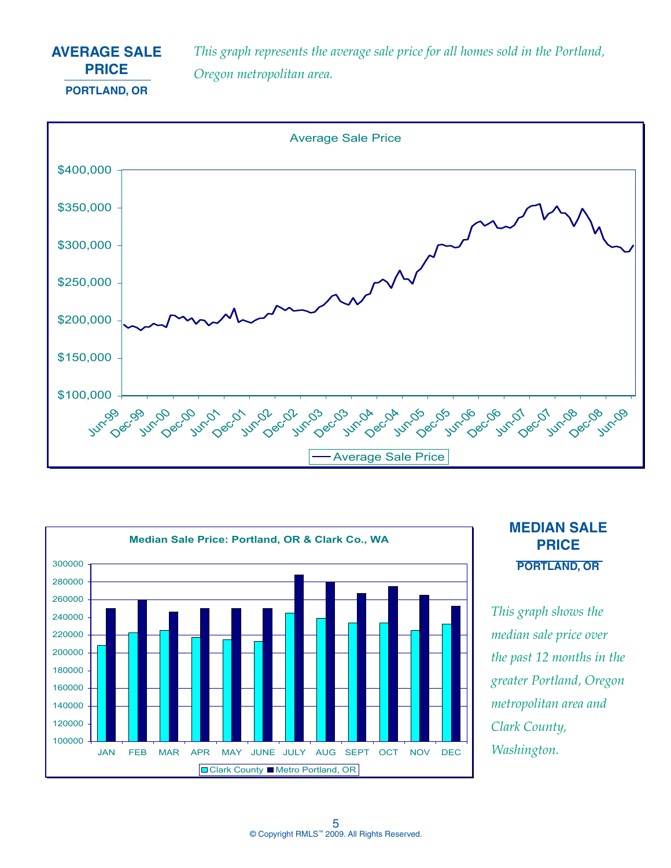# **AVERAGE SALE PRICE PORTLAND, OR**

*This graph represents the average sale price for all homes sold in the Portland, Oregon metropolitan area.*





# **MEDIAN SALE PRICE PORTLAND, OR**

*This graph shows the median sale price over the past 12 months in the greater Portland, Oregon metropolitan area and Clark County, Washington.*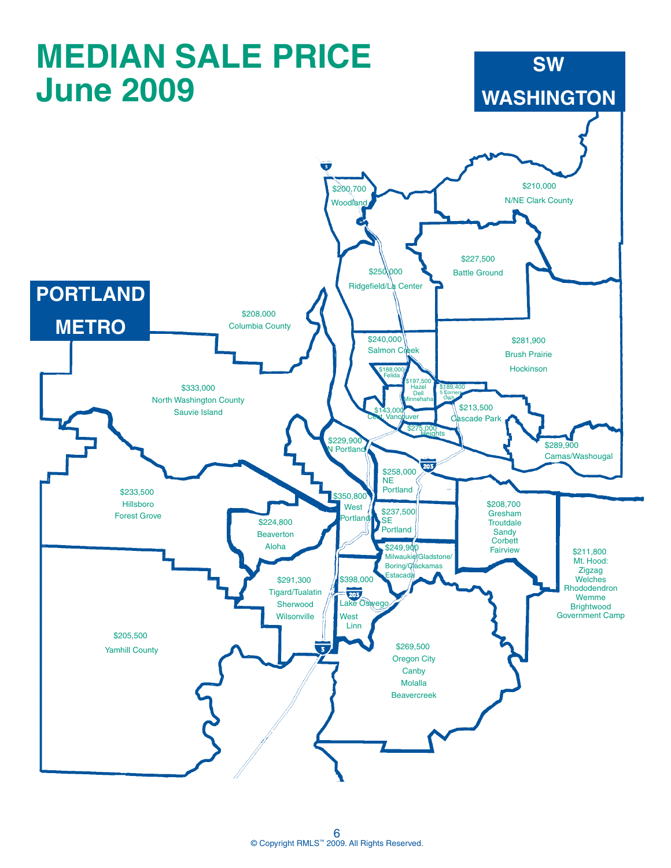